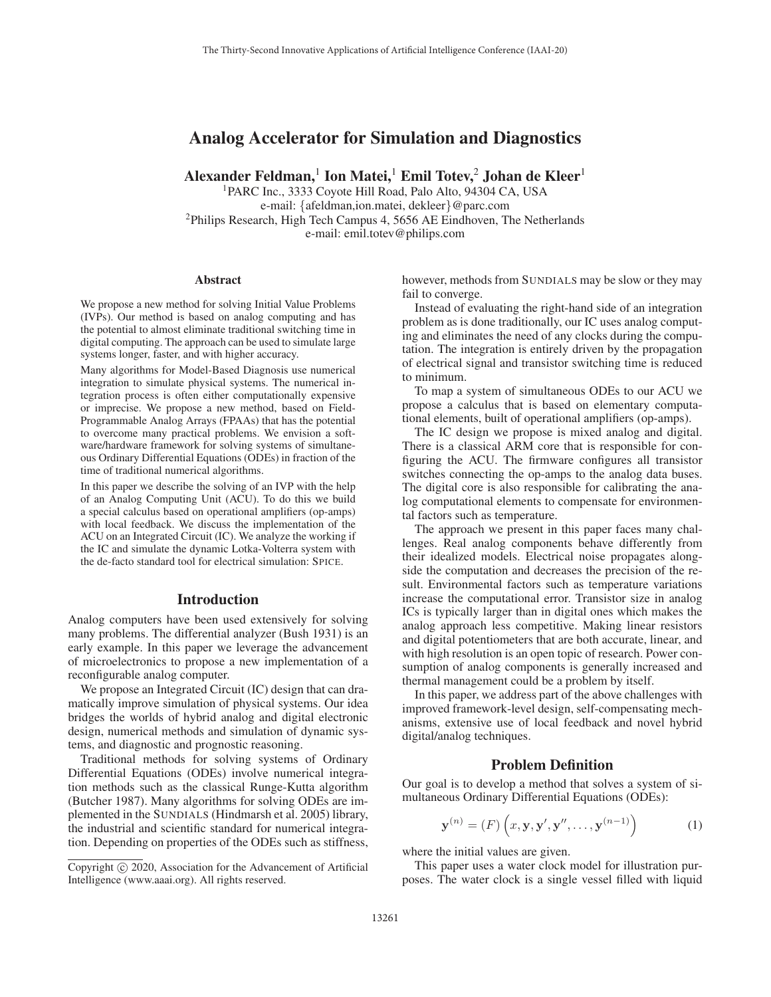# Analog Accelerator for Simulation and Diagnostics

Alexander Feldman, $^1$  Ion Matei, $^1$  Emil Totev, $^2$  Johan de Kleer $^1$ 

1PARC Inc., 3333 Coyote Hill Road, Palo Alto, 94304 CA, USA e-mail: {afeldman,ion.matei, dekleer}@parc.com <sup>2</sup>Philips Research, High Tech Campus 4, 5656 AE Eindhoven, The Netherlands e-mail: emil.totev@philips.com

#### **Abstract**

We propose a new method for solving Initial Value Problems (IVPs). Our method is based on analog computing and has the potential to almost eliminate traditional switching time in digital computing. The approach can be used to simulate large systems longer, faster, and with higher accuracy.

Many algorithms for Model-Based Diagnosis use numerical integration to simulate physical systems. The numerical integration process is often either computationally expensive or imprecise. We propose a new method, based on Field-Programmable Analog Arrays (FPAAs) that has the potential to overcome many practical problems. We envision a software/hardware framework for solving systems of simultaneous Ordinary Differential Equations (ODEs) in fraction of the time of traditional numerical algorithms.

In this paper we describe the solving of an IVP with the help of an Analog Computing Unit (ACU). To do this we build a special calculus based on operational amplifiers (op-amps) with local feedback. We discuss the implementation of the ACU on an Integrated Circuit (IC). We analyze the working if the IC and simulate the dynamic Lotka-Volterra system with the de-facto standard tool for electrical simulation: SPICE.

## Introduction

Analog computers have been used extensively for solving many problems. The differential analyzer (Bush 1931) is an early example. In this paper we leverage the advancement of microelectronics to propose a new implementation of a reconfigurable analog computer.

We propose an Integrated Circuit (IC) design that can dramatically improve simulation of physical systems. Our idea bridges the worlds of hybrid analog and digital electronic design, numerical methods and simulation of dynamic systems, and diagnostic and prognostic reasoning.

Traditional methods for solving systems of Ordinary Differential Equations (ODEs) involve numerical integration methods such as the classical Runge-Kutta algorithm (Butcher 1987). Many algorithms for solving ODEs are implemented in the SUNDIALS (Hindmarsh et al. 2005) library, the industrial and scientific standard for numerical integration. Depending on properties of the ODEs such as stiffness, however, methods from SUNDIALS may be slow or they may fail to converge.

Instead of evaluating the right-hand side of an integration problem as is done traditionally, our IC uses analog computing and eliminates the need of any clocks during the computation. The integration is entirely driven by the propagation of electrical signal and transistor switching time is reduced to minimum.

To map a system of simultaneous ODEs to our ACU we propose a calculus that is based on elementary computational elements, built of operational amplifiers (op-amps).

The IC design we propose is mixed analog and digital. There is a classical ARM core that is responsible for configuring the ACU. The firmware configures all transistor switches connecting the op-amps to the analog data buses. The digital core is also responsible for calibrating the analog computational elements to compensate for environmental factors such as temperature.

The approach we present in this paper faces many challenges. Real analog components behave differently from their idealized models. Electrical noise propagates alongside the computation and decreases the precision of the result. Environmental factors such as temperature variations increase the computational error. Transistor size in analog ICs is typically larger than in digital ones which makes the analog approach less competitive. Making linear resistors and digital potentiometers that are both accurate, linear, and with high resolution is an open topic of research. Power consumption of analog components is generally increased and thermal management could be a problem by itself.

In this paper, we address part of the above challenges with improved framework-level design, self-compensating mechanisms, extensive use of local feedback and novel hybrid digital/analog techniques.

#### Problem Definition

Our goal is to develop a method that solves a system of simultaneous Ordinary Differential Equations (ODEs):

$$
\mathbf{y}^{(n)} = (F) \left( x, \mathbf{y}, \mathbf{y}', \mathbf{y}'', \dots, \mathbf{y}^{(n-1)} \right) \tag{1}
$$

where the initial values are given.

This paper uses a water clock model for illustration purposes. The water clock is a single vessel filled with liquid

Copyright  $\odot$  2020, Association for the Advancement of Artificial Intelligence (www.aaai.org). All rights reserved.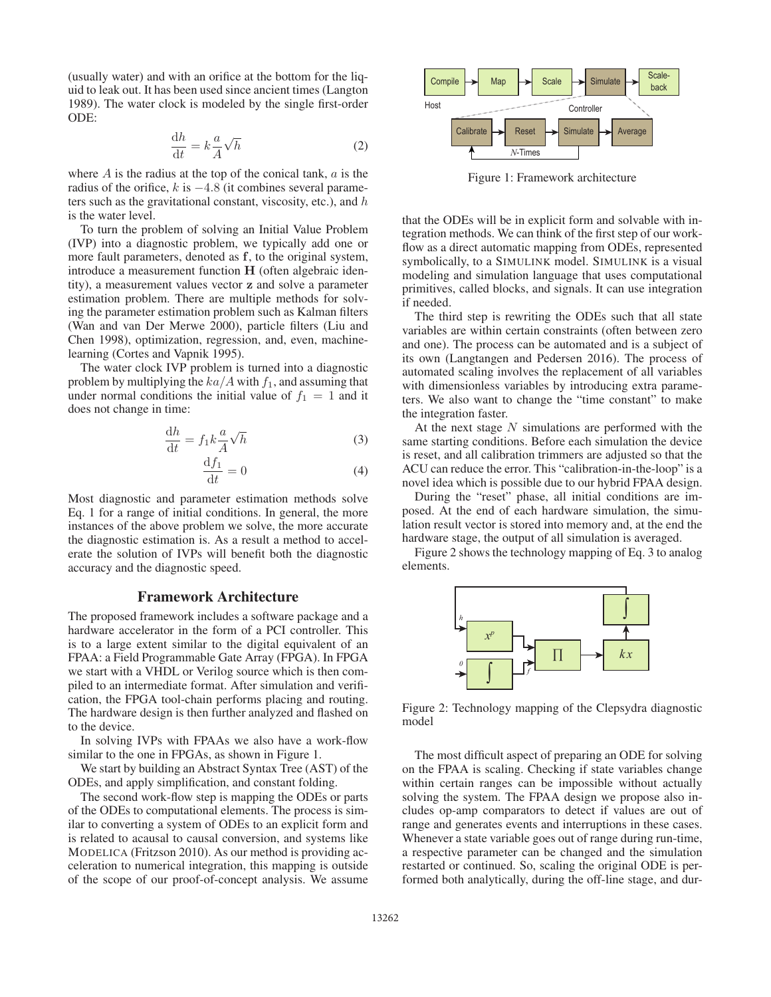(usually water) and with an orifice at the bottom for the liquid to leak out. It has been used since ancient times (Langton 1989). The water clock is modeled by the single first-order ODE:

$$
\frac{\mathrm{d}h}{\mathrm{d}t} = k \frac{a}{A} \sqrt{h} \tag{2}
$$

where  $A$  is the radius at the top of the conical tank,  $a$  is the radius of the orifice,  $k$  is  $-4.8$  (it combines several parameters such as the gravitational constant, viscosity, etc.), and  $h$ is the water level.

To turn the problem of solving an Initial Value Problem (IVP) into a diagnostic problem, we typically add one or more fault parameters, denoted as **f**, to the original system, introduce a measurement function **H** (often algebraic identity), a measurement values vector **z** and solve a parameter estimation problem. There are multiple methods for solving the parameter estimation problem such as Kalman filters (Wan and van Der Merwe 2000), particle filters (Liu and Chen 1998), optimization, regression, and, even, machinelearning (Cortes and Vapnik 1995).

The water clock IVP problem is turned into a diagnostic problem by multiplying the  $ka/A$  with  $f_1$ , and assuming that under normal conditions the initial value of  $f_1 = 1$  and it does not change in time:

$$
\frac{\mathrm{d}h}{\mathrm{d}t} = f_1 k \frac{a}{A} \sqrt{h} \tag{3}
$$

$$
\frac{\mathrm{d}f_1}{\mathrm{d}t} = 0\tag{4}
$$

Most diagnostic and parameter estimation methods solve Eq. 1 for a range of initial conditions. In general, the more instances of the above problem we solve, the more accurate the diagnostic estimation is. As a result a method to accelerate the solution of IVPs will benefit both the diagnostic accuracy and the diagnostic speed.

# Framework Architecture

The proposed framework includes a software package and a hardware accelerator in the form of a PCI controller. This is to a large extent similar to the digital equivalent of an FPAA: a Field Programmable Gate Array (FPGA). In FPGA we start with a VHDL or Verilog source which is then compiled to an intermediate format. After simulation and verification, the FPGA tool-chain performs placing and routing. The hardware design is then further analyzed and flashed on to the device.

In solving IVPs with FPAAs we also have a work-flow similar to the one in FPGAs, as shown in Figure 1.

We start by building an Abstract Syntax Tree (AST) of the ODEs, and apply simplification, and constant folding.

The second work-flow step is mapping the ODEs or parts of the ODEs to computational elements. The process is similar to converting a system of ODEs to an explicit form and is related to acausal to causal conversion, and systems like MODELICA (Fritzson 2010). As our method is providing acceleration to numerical integration, this mapping is outside of the scope of our proof-of-concept analysis. We assume



Figure 1: Framework architecture

that the ODEs will be in explicit form and solvable with integration methods. We can think of the first step of our workflow as a direct automatic mapping from ODEs, represented symbolically, to a SIMULINK model. SIMULINK is a visual modeling and simulation language that uses computational primitives, called blocks, and signals. It can use integration if needed.

The third step is rewriting the ODEs such that all state variables are within certain constraints (often between zero and one). The process can be automated and is a subject of its own (Langtangen and Pedersen 2016). The process of automated scaling involves the replacement of all variables with dimensionless variables by introducing extra parameters. We also want to change the "time constant" to make the integration faster.

At the next stage  $N$  simulations are performed with the same starting conditions. Before each simulation the device is reset, and all calibration trimmers are adjusted so that the ACU can reduce the error. This "calibration-in-the-loop" is a novel idea which is possible due to our hybrid FPAA design.

During the "reset" phase, all initial conditions are imposed. At the end of each hardware simulation, the simulation result vector is stored into memory and, at the end the hardware stage, the output of all simulation is averaged.

Figure 2 shows the technology mapping of Eq. 3 to analog elements.



Figure 2: Technology mapping of the Clepsydra diagnostic model

The most difficult aspect of preparing an ODE for solving on the FPAA is scaling. Checking if state variables change within certain ranges can be impossible without actually solving the system. The FPAA design we propose also includes op-amp comparators to detect if values are out of range and generates events and interruptions in these cases. Whenever a state variable goes out of range during run-time, a respective parameter can be changed and the simulation restarted or continued. So, scaling the original ODE is performed both analytically, during the off-line stage, and dur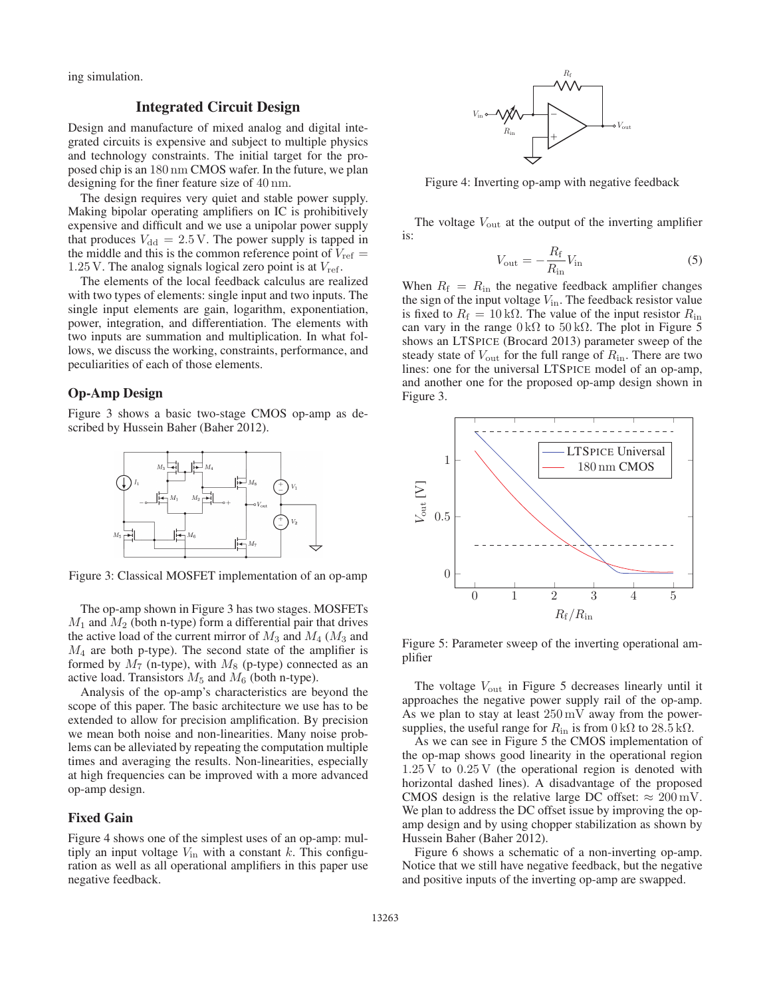ing simulation.

# Integrated Circuit Design

Design and manufacture of mixed analog and digital integrated circuits is expensive and subject to multiple physics and technology constraints. The initial target for the proposed chip is an 180 nm CMOS wafer. In the future, we plan designing for the finer feature size of 40 nm.

The design requires very quiet and stable power supply. Making bipolar operating amplifiers on IC is prohibitively expensive and difficult and we use a unipolar power supply that produces  $V_{\text{dd}} = 2.5 \text{ V}$ . The power supply is tapped in the middle and this is the common reference point of  $V_{ref}$  = 1.25 V. The analog signals logical zero point is at  $V_{ref}$ .

The elements of the local feedback calculus are realized with two types of elements: single input and two inputs. The single input elements are gain, logarithm, exponentiation, power, integration, and differentiation. The elements with two inputs are summation and multiplication. In what follows, we discuss the working, constraints, performance, and peculiarities of each of those elements.

# Op-Amp Design

Figure 3 shows a basic two-stage CMOS op-amp as described by Hussein Baher (Baher 2012).



Figure 3: Classical MOSFET implementation of an op-amp

The op-amp shown in Figure 3 has two stages. MOSFETs  $M_1$  and  $M_2$  (both n-type) form a differential pair that drives the active load of the current mirror of  $M_3$  and  $M_4$  ( $M_3$  and  $M_4$  are both p-type). The second state of the amplifier is formed by  $M_7$  (n-type), with  $M_8$  (p-type) connected as an active load. Transistors  $M_5$  and  $M_6$  (both n-type).

Analysis of the op-amp's characteristics are beyond the scope of this paper. The basic architecture we use has to be extended to allow for precision amplification. By precision we mean both noise and non-linearities. Many noise problems can be alleviated by repeating the computation multiple times and averaging the results. Non-linearities, especially at high frequencies can be improved with a more advanced op-amp design.

# Fixed Gain

Figure 4 shows one of the simplest uses of an op-amp: multiply an input voltage  $V_{\text{in}}$  with a constant k. This configuration as well as all operational amplifiers in this paper use negative feedback.



Figure 4: Inverting op-amp with negative feedback

The voltage  $V_{\text{out}}$  at the output of the inverting amplifier is:

$$
V_{\text{out}} = -\frac{R_{\text{f}}}{R_{\text{in}}} V_{\text{in}} \tag{5}
$$

When  $R_f = R_{in}$  the negative feedback amplifier changes the sign of the input voltage  $V_{\text{in}}$ . The feedback resistor value is fixed to  $R_{\rm f} = 10 \,\rm k\Omega$ . The value of the input resistor  $R_{\rm in}$ can vary in the range  $0 k\Omega$  to  $50 k\Omega$ . The plot in Figure 5 shows an LTSPICE (Brocard 2013) parameter sweep of the steady state of  $V_{\text{out}}$  for the full range of  $R_{\text{in}}$ . There are two lines: one for the universal LTSPICE model of an op-amp, and another one for the proposed op-amp design shown in Figure 3.



Figure 5: Parameter sweep of the inverting operational amplifier

The voltage  $V_{\text{out}}$  in Figure 5 decreases linearly until it approaches the negative power supply rail of the op-amp. As we plan to stay at least 250 mV away from the powersupplies, the useful range for  $R_{\text{in}}$  is from 0 k $\Omega$  to 28.5 k $\Omega$ .

As we can see in Figure 5 the CMOS implementation of the op-map shows good linearity in the operational region  $1.25\,\text{V}$  to  $0.25\,\text{V}$  (the operational region is denoted with horizontal dashed lines). A disadvantage of the proposed CMOS design is the relative large DC offset:  $\approx 200 \,\text{mV}$ . We plan to address the DC offset issue by improving the opamp design and by using chopper stabilization as shown by Hussein Baher (Baher 2012).

Figure 6 shows a schematic of a non-inverting op-amp. Notice that we still have negative feedback, but the negative and positive inputs of the inverting op-amp are swapped.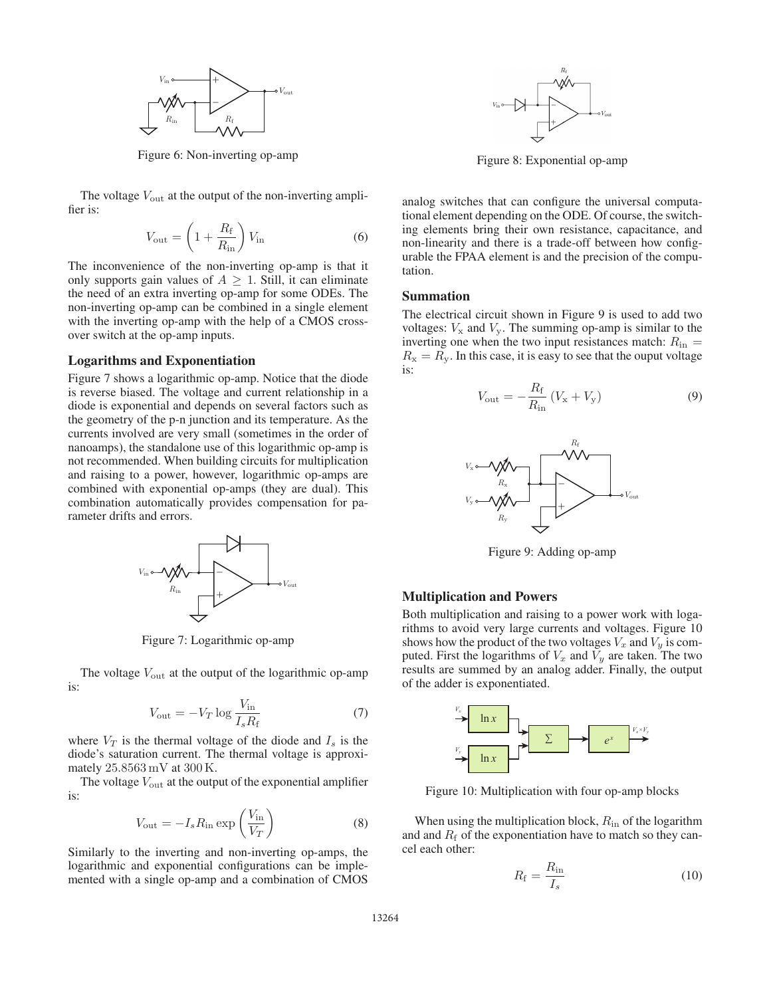

Figure 6: Non-inverting op-amp

The voltage  $V_{\text{out}}$  at the output of the non-inverting amplifier is:

$$
V_{\text{out}} = \left(1 + \frac{R_{\text{f}}}{R_{\text{in}}}\right) V_{\text{in}} \tag{6}
$$

The inconvenience of the non-inverting op-amp is that it only supports gain values of  $A \geq 1$ . Still, it can eliminate the need of an extra inverting op-amp for some ODEs. The non-inverting op-amp can be combined in a single element with the inverting op-amp with the help of a CMOS crossover switch at the op-amp inputs.

#### Logarithms and Exponentiation

Figure 7 shows a logarithmic op-amp. Notice that the diode is reverse biased. The voltage and current relationship in a diode is exponential and depends on several factors such as the geometry of the p-n junction and its temperature. As the currents involved are very small (sometimes in the order of nanoamps), the standalone use of this logarithmic op-amp is not recommended. When building circuits for multiplication and raising to a power, however, logarithmic op-amps are combined with exponential op-amps (they are dual). This combination automatically provides compensation for parameter drifts and errors.



Figure 7: Logarithmic op-amp

The voltage  $V_{\text{out}}$  at the output of the logarithmic op-amp is:

$$
V_{\text{out}} = -V_T \log \frac{V_{\text{in}}}{I_s R_{\text{f}}}
$$
 (7)

where  $V_T$  is the thermal voltage of the diode and  $I_s$  is the diode's saturation current. The thermal voltage is approximately 25.8563 mV at 300 K.

The voltage  $V_{\text{out}}$  at the output of the exponential amplifier is:

$$
V_{\text{out}} = -I_s R_{\text{in}} \exp\left(\frac{V_{\text{in}}}{V_T}\right) \tag{8}
$$

Similarly to the inverting and non-inverting op-amps, the logarithmic and exponential configurations can be implemented with a single op-amp and a combination of CMOS



Figure 8: Exponential op-amp

analog switches that can configure the universal computational element depending on the ODE. Of course, the switching elements bring their own resistance, capacitance, and non-linearity and there is a trade-off between how configurable the FPAA element is and the precision of the computation.

#### Summation

The electrical circuit shown in Figure 9 is used to add two voltages:  $V_x$  and  $V_y$ . The summing op-amp is similar to the inverting one when the two input resistances match:  $R_{\text{in}} =$  $R_{\rm x} = R_{\rm y}$ . In this case, it is easy to see that the ouput voltage is:

$$
V_{\text{out}} = -\frac{R_{\text{f}}}{R_{\text{in}}}(V_{\text{x}} + V_{\text{y}})
$$
\n(9)



Figure 9: Adding op-amp

#### Multiplication and Powers

Both multiplication and raising to a power work with logarithms to avoid very large currents and voltages. Figure 10 shows how the product of the two voltages  $V_x$  and  $V_y$  is computed. First the logarithms of  $V_x$  and  $\bar{V}_y$  are taken. The two results are summed by an analog adder. Finally, the output of the adder is exponentiated.



Figure 10: Multiplication with four op-amp blocks

When using the multiplication block,  $R_{\text{in}}$  of the logarithm and and  $R_f$  of the exponentiation have to match so they cancel each other:

$$
R_{\rm f} = \frac{R_{\rm in}}{I_s} \tag{10}
$$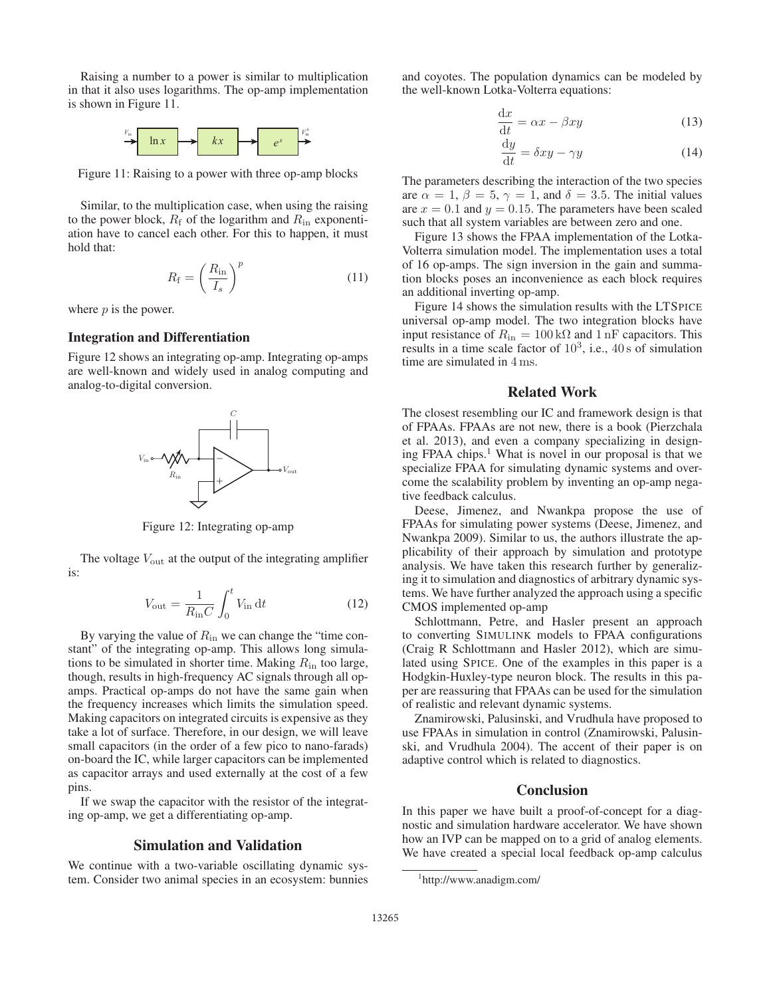Raising a number to a power is similar to multiplication in that it also uses logarithms. The op-amp implementation is shown in Figure 11.



Figure 11: Raising to a power with three op-amp blocks

Similar, to the multiplication case, when using the raising to the power block,  $R_f$  of the logarithm and  $R_{\text{in}}$  exponentiation have to cancel each other. For this to happen, it must hold that:

$$
R_{\rm f} = \left(\frac{R_{\rm in}}{I_s}\right)^p \tag{11}
$$

where  $p$  is the power.

#### Integration and Differentiation

Figure 12 shows an integrating op-amp. Integrating op-amps are well-known and widely used in analog computing and analog-to-digital conversion.



Figure 12: Integrating op-amp

The voltage  $V_{\text{out}}$  at the output of the integrating amplifier is:

$$
V_{\text{out}} = \frac{1}{R_{\text{in}}C} \int_0^t V_{\text{in}} dt
$$
 (12)

By varying the value of  $R_{\text{in}}$  we can change the "time constant" of the integrating op-amp. This allows long simulations to be simulated in shorter time. Making  $R_{\text{in}}$  too large, though, results in high-frequency AC signals through all opamps. Practical op-amps do not have the same gain when the frequency increases which limits the simulation speed. Making capacitors on integrated circuits is expensive as they take a lot of surface. Therefore, in our design, we will leave small capacitors (in the order of a few pico to nano-farads) on-board the IC, while larger capacitors can be implemented as capacitor arrays and used externally at the cost of a few pins.

If we swap the capacitor with the resistor of the integrating op-amp, we get a differentiating op-amp.

### Simulation and Validation

We continue with a two-variable oscillating dynamic system. Consider two animal species in an ecosystem: bunnies and coyotes. The population dynamics can be modeled by the well-known Lotka-Volterra equations:

$$
\frac{\mathrm{d}x}{\mathrm{d}t} = \alpha x - \beta xy \tag{13}
$$

$$
\frac{\mathrm{d}y}{\mathrm{d}t} = \delta xy - \gamma y \tag{14}
$$

The parameters describing the interaction of the two species are  $\alpha = 1$ ,  $\beta = 5$ ,  $\gamma = 1$ , and  $\delta = 3.5$ . The initial values are  $x = 0.1$  and  $y = 0.15$ . The parameters have been scaled such that all system variables are between zero and one.

Figure 13 shows the FPAA implementation of the Lotka-Volterra simulation model. The implementation uses a total of 16 op-amps. The sign inversion in the gain and summation blocks poses an inconvenience as each block requires an additional inverting op-amp.

Figure 14 shows the simulation results with the LTSPICE universal op-amp model. The two integration blocks have input resistance of  $R_{\rm in} = 100 \,\rm k\Omega$  and  $1 \,\rm nF$  capacitors. This results in a time scale factor of  $10^3$ , i.e.,  $40 \text{ s}$  of simulation time are simulated in 4 ms.

## Related Work

The closest resembling our IC and framework design is that of FPAAs. FPAAs are not new, there is a book (Pierzchala et al. 2013), and even a company specializing in designing FPAA chips.<sup>1</sup> What is novel in our proposal is that we specialize FPAA for simulating dynamic systems and overcome the scalability problem by inventing an op-amp negative feedback calculus.

Deese, Jimenez, and Nwankpa propose the use of FPAAs for simulating power systems (Deese, Jimenez, and Nwankpa 2009). Similar to us, the authors illustrate the applicability of their approach by simulation and prototype analysis. We have taken this research further by generalizing it to simulation and diagnostics of arbitrary dynamic systems. We have further analyzed the approach using a specific CMOS implemented op-amp

Schlottmann, Petre, and Hasler present an approach to converting SIMULINK models to FPAA configurations (Craig R Schlottmann and Hasler 2012), which are simulated using SPICE. One of the examples in this paper is a Hodgkin-Huxley-type neuron block. The results in this paper are reassuring that FPAAs can be used for the simulation of realistic and relevant dynamic systems.

Znamirowski, Palusinski, and Vrudhula have proposed to use FPAAs in simulation in control (Znamirowski, Palusinski, and Vrudhula 2004). The accent of their paper is on adaptive control which is related to diagnostics.

#### **Conclusion**

In this paper we have built a proof-of-concept for a diagnostic and simulation hardware accelerator. We have shown how an IVP can be mapped on to a grid of analog elements. We have created a special local feedback op-amp calculus

<sup>1</sup> http://www.anadigm.com/